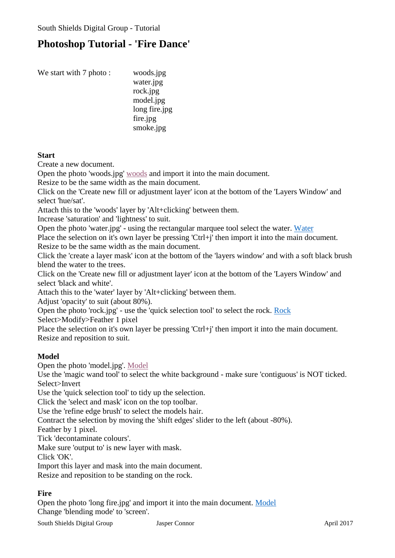# **Photoshop Tutorial - 'Fire Dance'**

| We start with 7 photo: | woods.jpg     |
|------------------------|---------------|
|                        | water.jpg     |
|                        | rock.jpg      |
|                        | model.jpg     |
|                        | long fire.jpg |
|                        | fire.jpg      |
|                        | smoke.jpg     |
|                        |               |

#### **Start**

Create a new document.

Open the photo 'woods.jpg' [woods](http://southshieldsdigigroup.co.uk/wp-content/uploads/2017/04/01-woods.jpg) and import it into the main document.

Resize to be the same width as the main document.

Click on the 'Create new fill or adjustment layer' icon at the bottom of the 'Layers Window' and select 'hue/sat'.

Attach this to the 'woods' layer by 'Alt+clicking' between them.

Increase 'saturation' and 'lightness' to suit.

Open the photo 'water.jpg' - using the rectangular marquee tool select the water. [Water](http://southshieldsdigigroup.co.uk/wp-content/uploads/2017/04/02-water.jpg)

Place the selection on it's own layer be pressing 'Ctrl+j' then import it into the main document. Resize to be the same width as the main document.

Click the 'create a layer mask' icon at the bottom of the 'layers window' and with a soft black brush blend the water to the trees.

Click on the 'Create new fill or adjustment layer' icon at the bottom of the 'Layers Window' and select 'black and white'.

Attach this to the 'water' layer by 'Alt+clicking' between them.

Adjust 'opacity' to suit (about 80%).

Open the photo 'rock.jpg' - use the 'quick selection tool' to select the rock. [Rock](http://southshieldsdigigroup.co.uk/wp-content/uploads/2017/04/03-rock.jpg)

Select>Modify>Feather 1 pixel

Place the selection on it's own layer be pressing 'Ctrl+j' then import it into the main document. Resize and reposition to suit.

### **Model**

Open the photo 'model.jpg'. [Model](http://southshieldsdigigroup.co.uk/wp-content/uploads/2017/04/04-Model.jpg)

Use the 'magic wand tool' to select the white background - make sure 'contiguous' is NOT ticked. Select>Invert

Use the 'quick selection tool' to tidy up the selection.

Click the 'select and mask' icon on the top toolbar.

Use the 'refine edge brush' to select the models hair.

Contract the selection by moving the 'shift edges' slider to the left (about -80%).

Feather by 1 pixel.

Tick 'decontaminate colours'.

Make sure 'output to' is new layer with mask.

Click 'OK'.

Import this layer and mask into the main document.

Resize and reposition to be standing on the rock.

## **Fire**

Open the photo 'long fire.jpg' and import it into the main document. [Model](http://southshieldsdigigroup.co.uk/wp-content/uploads/2017/04/04-Model.jpg) Change 'blending mode' to 'screen'.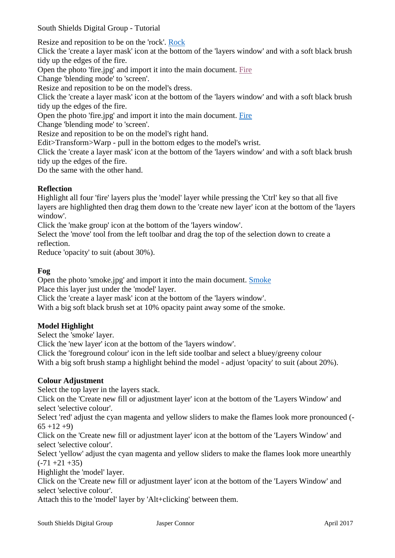South Shields Digital Group - Tutorial

Resize and reposition to be on the 'rock'. [Rock](http://southshieldsdigigroup.co.uk/wp-content/uploads/2017/04/03-rock.jpg)

Click the 'create a layer mask' icon at the bottom of the 'layers window' and with a soft black brush tidy up the edges of the fire.

Open the photo 'fire.jpg' and import it into the main document. [Fire](http://southshieldsdigigroup.co.uk/wp-content/uploads/2017/04/06-fire.jpg)

Change 'blending mode' to 'screen'.

Resize and reposition to be on the model's dress.

Click the 'create a layer mask' icon at the bottom of the 'layers window' and with a soft black brush tidy up the edges of the fire.

Open the photo 'fire.jpg' and import it into the main document. [Fire](http://southshieldsdigigroup.co.uk/wp-content/uploads/2017/04/06-fire.jpg)

Change 'blending mode' to 'screen'.

Resize and reposition to be on the model's right hand.

Edit>Transform>Warp - pull in the bottom edges to the model's wrist.

Click the 'create a layer mask' icon at the bottom of the 'layers window' and with a soft black brush tidy up the edges of the fire.

Do the same with the other hand.

#### **Reflection**

Highlight all four 'fire' layers plus the 'model' layer while pressing the 'Ctrl' key so that all five layers are highlighted then drag them down to the 'create new layer' icon at the bottom of the 'layers window'.

Click the 'make group' icon at the bottom of the 'layers window'.

Select the 'move' tool from the left toolbar and drag the top of the selection down to create a reflection.

Reduce 'opacity' to suit (about 30%).

#### **Fog**

Open the photo 'smoke.jpg' and import it into the main document. [Smoke](http://southshieldsdigigroup.co.uk/wp-content/uploads/2017/04/07-smoke.jpg)

Place this layer just under the 'model' layer.

Click the 'create a layer mask' icon at the bottom of the 'layers window'.

With a big soft black brush set at 10% opacity paint away some of the smoke.

#### **Model Highlight**

Select the 'smoke' layer.

Click the 'new layer' icon at the bottom of the 'layers window'.

Click the 'foreground colour' icon in the left side toolbar and select a bluey/greeny colour With a big soft brush stamp a highlight behind the model - adjust 'opacity' to suit (about 20%).

#### **Colour Adjustment**

Select the top layer in the layers stack.

Click on the 'Create new fill or adjustment layer' icon at the bottom of the 'Layers Window' and select 'selective colour'.

Select 'red' adjust the cyan magenta and yellow sliders to make the flames look more pronounced (-  $65 + 12 + 9$ 

Click on the 'Create new fill or adjustment layer' icon at the bottom of the 'Layers Window' and select 'selective colour'.

Select 'yellow' adjust the cyan magenta and yellow sliders to make the flames look more unearthly  $(-71 + 21 + 35)$ 

Highlight the 'model' layer.

Click on the 'Create new fill or adjustment layer' icon at the bottom of the 'Layers Window' and select 'selective colour'.

Attach this to the 'model' layer by 'Alt+clicking' between them.